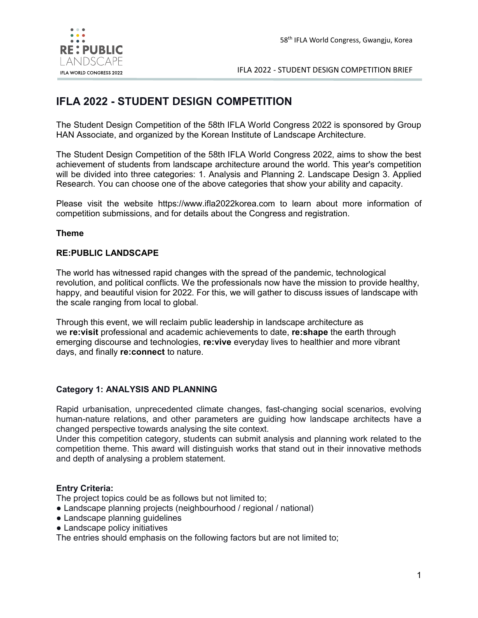

# **IFLA 2022 - STUDENT DESIGN COMPETITION**

The Student Design Competition of the 58th IFLA World Congress 2022 is sponsored by Group HAN Associate, and organized by the Korean Institute of Landscape Architecture.

The Student Design Competition of the 58th IFLA World Congress 2022, aims to show the best achievement of students from landscape architecture around the world. This year's competition will be divided into three categories: 1. Analysis and Planning 2. Landscape Design 3. Applied Research. You can choose one of the above categories that show your ability and capacity.

Please visit the website https://www.ifla2022korea.com to learn about more information of competition submissions, and for details about the Congress and registration.

#### **Theme**

#### **RE:PUBLIC LANDSCAPE**

The world has witnessed rapid changes with the spread of the pandemic, technological revolution, and political conflicts. We the professionals now have the mission to provide healthy, happy, and beautiful vision for 2022. For this, we will gather to discuss issues of landscape with the scale ranging from local to global.

Through this event, we will reclaim public leadership in landscape architecture as we **re:visit** professional and academic achievements to date, **re:shape** the earth through emerging discourse and technologies, **re:vive** everyday lives to healthier and more vibrant days, and finally **re:connect** to nature.

#### **Category 1: ANALYSIS AND PLANNING**

Rapid urbanisation, unprecedented climate changes, fast-changing social scenarios, evolving human-nature relations, and other parameters are guiding how landscape architects have a changed perspective towards analysing the site context.

Under this competition category, students can submit analysis and planning work related to the competition theme. This award will distinguish works that stand out in their innovative methods and depth of analysing a problem statement.

## **Entry Criteria:**

The project topics could be as follows but not limited to;

- Landscape planning projects (neighbourhood / regional / national)
- Landscape planning guidelines
- Landscape policy initiatives

The entries should emphasis on the following factors but are not limited to;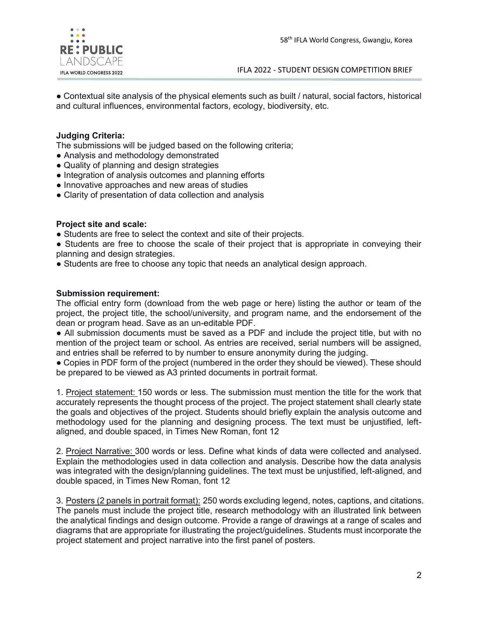

● Contextual site analysis of the physical elements such as built / natural, social factors, historical and cultural influences, environmental factors, ecology, biodiversity, etc.

## **Judging Criteria:**

The submissions will be judged based on the following criteria;

- Analysis and methodology demonstrated
- Quality of planning and design strategies
- Integration of analysis outcomes and planning efforts
- Innovative approaches and new areas of studies
- Clarity of presentation of data collection and analysis

#### **Project site and scale:**

• Students are free to select the context and site of their projects.

• Students are free to choose the scale of their project that is appropriate in conveying their planning and design strategies.

● Students are free to choose any topic that needs an analytical design approach.

#### **Submission requirement:**

The official entry form (download from the web page or here) listing the author or team of the project, the project title, the school/university, and program name, and the endorsement of the dean or program head. Save as an un-editable PDF.

● All submission documents must be saved as a PDF and include the project title, but with no mention of the project team or school. As entries are received, serial numbers will be assigned, and entries shall be referred to by number to ensure anonymity during the judging.

● Copies in PDF form of the project (numbered in the order they should be viewed). These should be prepared to be viewed as A3 printed documents in portrait format.

1. Project statement: 150 words or less. The submission must mention the title for the work that accurately represents the thought process of the project. The project statement shall clearly state the goals and objectives of the project. Students should briefly explain the analysis outcome and methodology used for the planning and designing process. The text must be unjustified, leftaligned, and double spaced, in Times New Roman, font 12

2. Project Narrative: 300 words or less. Define what kinds of data were collected and analysed. Explain the methodologies used in data collection and analysis. Describe how the data analysis was integrated with the design/planning guidelines. The text must be unjustified, left-aligned, and double spaced, in Times New Roman, font 12

3. Posters (2 panels in portrait format): 250 words excluding legend, notes, captions, and citations. The panels must include the project title, research methodology with an illustrated link between the analytical findings and design outcome. Provide a range of drawings at a range of scales and diagrams that are appropriate for illustrating the project/guidelines. Students must incorporate the project statement and project narrative into the first panel of posters.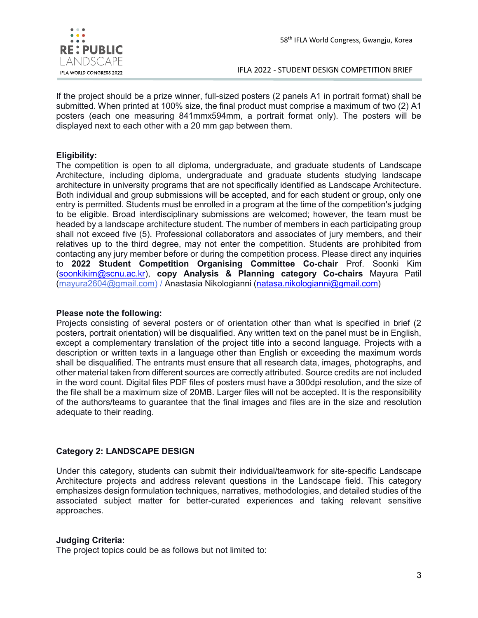

If the project should be a prize winner, full-sized posters (2 panels A1 in portrait format) shall be submitted. When printed at 100% size, the final product must comprise a maximum of two (2) A1 posters (each one measuring 841mmx594mm, a portrait format only). The posters will be displayed next to each other with a 20 mm gap between them.

## **Eligibility:**

The competition is open to all diploma, undergraduate, and graduate students of Landscape Architecture, including diploma, undergraduate and graduate students studying landscape architecture in university programs that are not specifically identified as Landscape Architecture. Both individual and group submissions will be accepted, and for each student or group, only one entry is permitted. Students must be enrolled in a program at the time of the competition's judging to be eligible. Broad interdisciplinary submissions are welcomed; however, the team must be headed by a landscape architecture student. The number of members in each participating group shall not exceed five (5). Professional collaborators and associates of jury members, and their relatives up to the third degree, may not enter the competition. Students are prohibited from contacting any jury member before or during the competition process. Please direct any inquiries to **2022 Student Competition Organising Committee Co-chair** Prof. Soonki Kim [\(soonkikim@scnu.ac.kr\)](mailto:soonkikim@scnu.ac.kr), **copy Analysis & Planning category Co-chairs** Mayura Patil [\(mayura2604@gmail.com\)](mailto:mayura2604@gmail.com)%20/) / Anastasia Nikologianni [\(natasa.nikologianni@gmail.com\)](mailto:natasa.nikologianni@gmail.com)

#### **Please note the following:**

Projects consisting of several posters or of orientation other than what is specified in brief (2 posters, portrait orientation) will be disqualified. Any written text on the panel must be in English, except a complementary translation of the project title into a second language. Projects with a description or written texts in a language other than English or exceeding the maximum words shall be disqualified. The entrants must ensure that all research data, images, photographs, and other material taken from different sources are correctly attributed. Source credits are not included in the word count. Digital files PDF files of posters must have a 300dpi resolution, and the size of the file shall be a maximum size of 20MB. Larger files will not be accepted. It is the responsibility of the authors/teams to guarantee that the final images and files are in the size and resolution adequate to their reading.

## **Category 2: LANDSCAPE DESIGN**

Under this category, students can submit their individual/teamwork for site-specific Landscape Architecture projects and address relevant questions in the Landscape field. This category emphasizes design formulation techniques, narratives, methodologies, and detailed studies of the associated subject matter for better-curated experiences and taking relevant sensitive approaches.

#### **Judging Criteria:**

The project topics could be as follows but not limited to: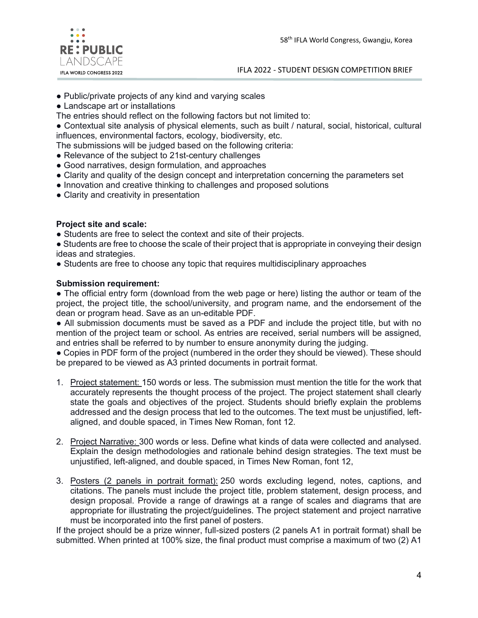

- Public/private projects of any kind and varying scales
- Landscape art or installations
- The entries should reflect on the following factors but not limited to:

● Contextual site analysis of physical elements, such as built / natural, social, historical, cultural influences, environmental factors, ecology, biodiversity, etc.

The submissions will be judged based on the following criteria:

- Relevance of the subject to 21st-century challenges
- Good narratives, design formulation, and approaches
- Clarity and quality of the design concept and interpretation concerning the parameters set
- Innovation and creative thinking to challenges and proposed solutions
- Clarity and creativity in presentation

#### **Project site and scale:**

• Students are free to select the context and site of their projects.

• Students are free to choose the scale of their project that is appropriate in conveying their design ideas and strategies.

● Students are free to choose any topic that requires multidisciplinary approaches

#### **Submission requirement:**

• The official entry form (download from the web page or here) listing the author or team of the project, the project title, the school/university, and program name, and the endorsement of the dean or program head. Save as an un-editable PDF.

● All submission documents must be saved as a PDF and include the project title, but with no mention of the project team or school. As entries are received, serial numbers will be assigned, and entries shall be referred to by number to ensure anonymity during the judging.

● Copies in PDF form of the project (numbered in the order they should be viewed). These should be prepared to be viewed as A3 printed documents in portrait format.

- 1. Project statement: 150 words or less. The submission must mention the title for the work that accurately represents the thought process of the project. The project statement shall clearly state the goals and objectives of the project. Students should briefly explain the problems addressed and the design process that led to the outcomes. The text must be unjustified, leftaligned, and double spaced, in Times New Roman, font 12.
- 2. Project Narrative: 300 words or less. Define what kinds of data were collected and analysed. Explain the design methodologies and rationale behind design strategies. The text must be unjustified, left-aligned, and double spaced, in Times New Roman, font 12,
- 3. Posters (2 panels in portrait format): 250 words excluding legend, notes, captions, and citations. The panels must include the project title, problem statement, design process, and design proposal. Provide a range of drawings at a range of scales and diagrams that are appropriate for illustrating the project/guidelines. The project statement and project narrative must be incorporated into the first panel of posters.

If the project should be a prize winner, full-sized posters (2 panels A1 in portrait format) shall be submitted. When printed at 100% size, the final product must comprise a maximum of two (2) A1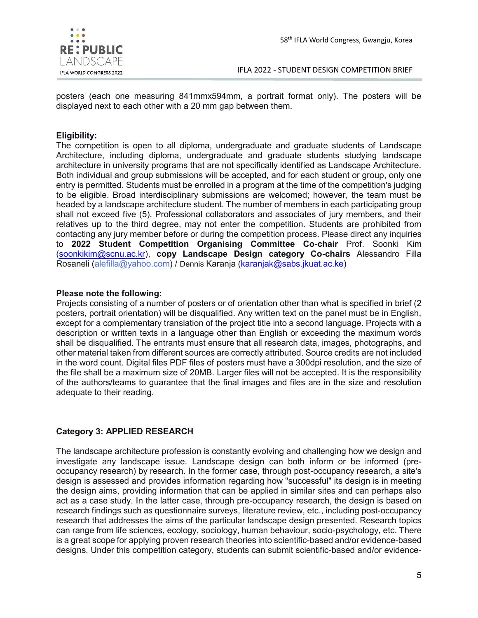

posters (each one measuring 841mmx594mm, a portrait format only). The posters will be displayed next to each other with a 20 mm gap between them.

## **Eligibility:**

The competition is open to all diploma, undergraduate and graduate students of Landscape Architecture, including diploma, undergraduate and graduate students studying landscape architecture in university programs that are not specifically identified as Landscape Architecture. Both individual and group submissions will be accepted, and for each student or group, only one entry is permitted. Students must be enrolled in a program at the time of the competition's judging to be eligible. Broad interdisciplinary submissions are welcomed; however, the team must be headed by a landscape architecture student. The number of members in each participating group shall not exceed five (5). Professional collaborators and associates of jury members, and their relatives up to the third degree, may not enter the competition. Students are prohibited from contacting any jury member before or during the competition process. Please direct any inquiries to **2022 Student Competition Organising Committee Co-chair** Prof. Soonki Kim [\(soonkikim@scnu.ac.kr\)](mailto:soonkikim@scnu.ac.kr), **copy Landscape Design category Co-chairs** Alessandro Filla Rosaneli [\(alefilla@yahoo.com\)](mailto:alefilla@yahoo.com) / Dennis Karanja [\(karanjak@sabs.jkuat.ac.ke\)](mailto:karanjak@sabs.jkuat.ac.ke)

#### **Please note the following:**

Projects consisting of a number of posters or of orientation other than what is specified in brief (2 posters, portrait orientation) will be disqualified. Any written text on the panel must be in English, except for a complementary translation of the project title into a second language. Projects with a description or written texts in a language other than English or exceeding the maximum words shall be disqualified. The entrants must ensure that all research data, images, photographs, and other material taken from different sources are correctly attributed. Source credits are not included in the word count. Digital files PDF files of posters must have a 300dpi resolution, and the size of the file shall be a maximum size of 20MB. Larger files will not be accepted. It is the responsibility of the authors/teams to guarantee that the final images and files are in the size and resolution adequate to their reading.

## **Category 3: APPLIED RESEARCH**

The landscape architecture profession is constantly evolving and challenging how we design and investigate any landscape issue. Landscape design can both inform or be informed (preoccupancy research) by research. In the former case, through post-occupancy research, a site's design is assessed and provides information regarding how "successful" its design is in meeting the design aims, providing information that can be applied in similar sites and can perhaps also act as a case study. In the latter case, through pre-occupancy research, the design is based on research findings such as questionnaire surveys, literature review, etc., including post-occupancy research that addresses the aims of the particular landscape design presented. Research topics can range from life sciences, ecology, sociology, human behaviour, socio-psychology, etc. There is a great scope for applying proven research theories into scientific-based and/or evidence-based designs. Under this competition category, students can submit scientific-based and/or evidence-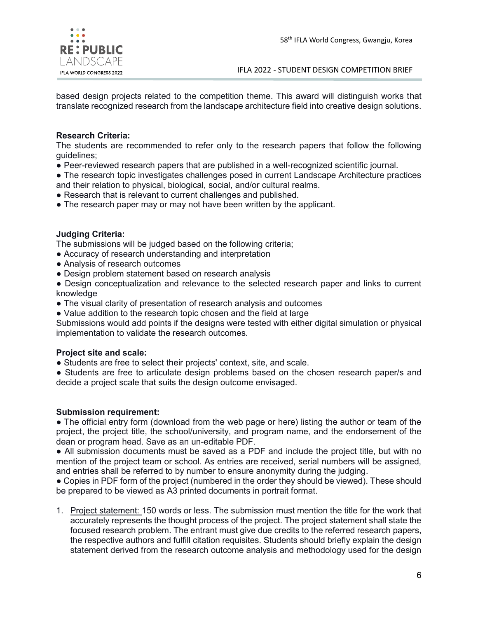

based design projects related to the competition theme. This award will distinguish works that translate recognized research from the landscape architecture field into creative design solutions.

## **Research Criteria:**

The students are recommended to refer only to the research papers that follow the following guidelines;

● Peer-reviewed research papers that are published in a well-recognized scientific journal.

● The research topic investigates challenges posed in current Landscape Architecture practices and their relation to physical, biological, social, and/or cultural realms.

- Research that is relevant to current challenges and published.
- The research paper may or may not have been written by the applicant.

## **Judging Criteria:**

The submissions will be judged based on the following criteria;

- Accuracy of research understanding and interpretation
- Analysis of research outcomes
- Design problem statement based on research analysis

● Design conceptualization and relevance to the selected research paper and links to current knowledge

- The visual clarity of presentation of research analysis and outcomes
- Value addition to the research topic chosen and the field at large

Submissions would add points if the designs were tested with either digital simulation or physical implementation to validate the research outcomes.

## **Project site and scale:**

● Students are free to select their projects' context, site, and scale.

• Students are free to articulate design problems based on the chosen research paper/s and decide a project scale that suits the design outcome envisaged.

#### **Submission requirement:**

• The official entry form (download from the web page or here) listing the author or team of the project, the project title, the school/university, and program name, and the endorsement of the dean or program head. Save as an un-editable PDF.

● All submission documents must be saved as a PDF and include the project title, but with no mention of the project team or school. As entries are received, serial numbers will be assigned, and entries shall be referred to by number to ensure anonymity during the judging.

● Copies in PDF form of the project (numbered in the order they should be viewed). These should be prepared to be viewed as A3 printed documents in portrait format.

1. Project statement: 150 words or less. The submission must mention the title for the work that accurately represents the thought process of the project. The project statement shall state the focused research problem. The entrant must give due credits to the referred research papers, the respective authors and fulfill citation requisites. Students should briefly explain the design statement derived from the research outcome analysis and methodology used for the design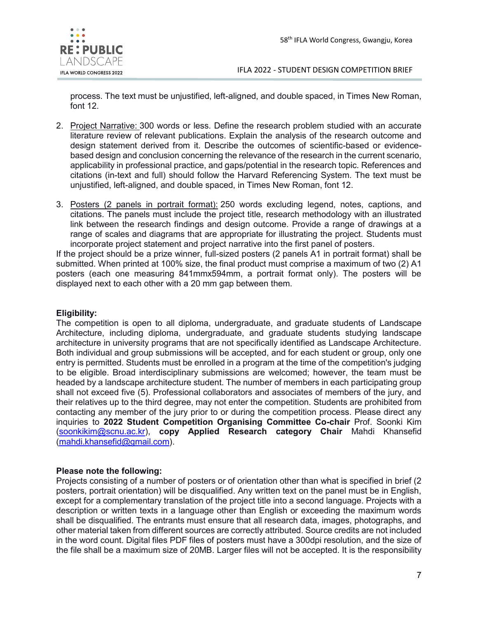

process. The text must be unjustified, left-aligned, and double spaced, in Times New Roman, font 12.

- 2. Project Narrative: 300 words or less. Define the research problem studied with an accurate literature review of relevant publications. Explain the analysis of the research outcome and design statement derived from it. Describe the outcomes of scientific-based or evidencebased design and conclusion concerning the relevance of the research in the current scenario, applicability in professional practice, and gaps/potential in the research topic. References and citations (in-text and full) should follow the Harvard Referencing System. The text must be unjustified, left-aligned, and double spaced, in Times New Roman, font 12.
- 3. Posters (2 panels in portrait format): 250 words excluding legend, notes, captions, and citations. The panels must include the project title, research methodology with an illustrated link between the research findings and design outcome. Provide a range of drawings at a range of scales and diagrams that are appropriate for illustrating the project. Students must incorporate project statement and project narrative into the first panel of posters.

If the project should be a prize winner, full-sized posters (2 panels A1 in portrait format) shall be submitted. When printed at 100% size, the final product must comprise a maximum of two (2) A1 posters (each one measuring 841mmx594mm, a portrait format only). The posters will be displayed next to each other with a 20 mm gap between them.

## **Eligibility:**

The competition is open to all diploma, undergraduate, and graduate students of Landscape Architecture, including diploma, undergraduate, and graduate students studying landscape architecture in university programs that are not specifically identified as Landscape Architecture. Both individual and group submissions will be accepted, and for each student or group, only one entry is permitted. Students must be enrolled in a program at the time of the competition's judging to be eligible. Broad interdisciplinary submissions are welcomed; however, the team must be headed by a landscape architecture student. The number of members in each participating group shall not exceed five (5). Professional collaborators and associates of members of the jury, and their relatives up to the third degree, may not enter the competition. Students are prohibited from contacting any member of the jury prior to or during the competition process. Please direct any inquiries to **2022 Student Competition Organising Committee Co-chair** Prof. Soonki Kim [\(soonkikim@scnu.ac.kr\)](mailto:soonkikim@scnu.ac.kr), **copy Applied Research category Chair** Mahdi Khansefid [\(mahdi.khansefid@gmail.com\)](mailto:mahdi.khansefid@gmail.com).

## **Please note the following:**

Projects consisting of a number of posters or of orientation other than what is specified in brief (2 posters, portrait orientation) will be disqualified. Any written text on the panel must be in English, except for a complementary translation of the project title into a second language. Projects with a description or written texts in a language other than English or exceeding the maximum words shall be disqualified. The entrants must ensure that all research data, images, photographs, and other material taken from different sources are correctly attributed. Source credits are not included in the word count. Digital files PDF files of posters must have a 300dpi resolution, and the size of the file shall be a maximum size of 20MB. Larger files will not be accepted. It is the responsibility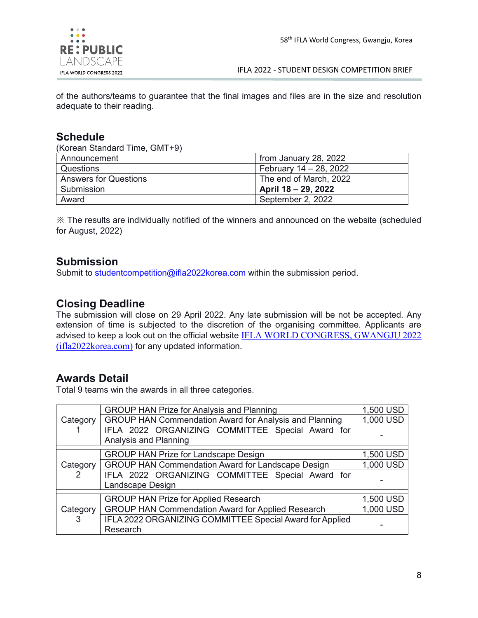

of the authors/teams to guarantee that the final images and files are in the size and resolution adequate to their reading.

## **Schedule**

(Korean Standard Time, GMT+9)

| Announcement                 | from January 28, 2022  |
|------------------------------|------------------------|
| Questions                    | February 14 - 28, 2022 |
| <b>Answers for Questions</b> | The end of March, 2022 |
| Submission                   | April 18 – 29, 2022    |
| Award                        | September 2, 2022      |

※ The results are individually notified of the winners and announced on the website (scheduled for August, 2022)

## **Submission**

Submit to [studentcompetition@ifla2022korea.com](mailto:studentcompetition@ifla2022korea.com) within the submission period.

## **Closing Deadline**

The submission will close on 29 April 2022. Any late submission will be not be accepted. Any extension of time is subjected to the discretion of the organising committee. Applicants are advised to keep a look out on the official website [IFLA WORLD CONGRESS, GWANGJU 2022](https://www.ifla2022korea.com/html/10)  [\(ifla2022korea.com\)](https://www.ifla2022korea.com/html/10) for any updated information.

## **Awards Detail**

Total 9 teams win the awards in all three categories.

| Category      | <b>GROUP HAN Prize for Analysis and Planning</b>                          | 1,500 USD |
|---------------|---------------------------------------------------------------------------|-----------|
|               | <b>GROUP HAN Commendation Award for Analysis and Planning</b>             | 1,000 USD |
|               | IFLA 2022 ORGANIZING COMMITTEE Special Award for<br>Analysis and Planning |           |
| Category<br>2 | <b>GROUP HAN Prize for Landscape Design</b>                               | 1,500 USD |
|               | <b>GROUP HAN Commendation Award for Landscape Design</b>                  | 1,000 USD |
|               | IFLA 2022 ORGANIZING COMMITTEE Special Award for<br>Landscape Design      |           |
|               | <b>GROUP HAN Prize for Applied Research</b>                               | 1,500 USD |
| Category<br>3 | <b>GROUP HAN Commendation Award for Applied Research</b>                  | 1,000 USD |
|               | IFLA 2022 ORGANIZING COMMITTEE Special Award for Applied<br>Research      |           |